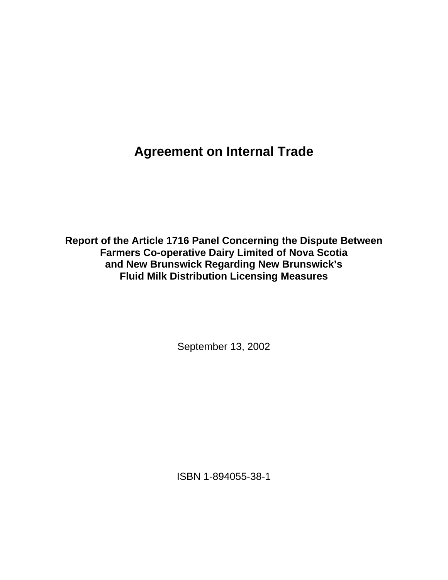**Agreement on Internal Trade** 

**Report of the Article 1716 Panel Concerning the Dispute Between Farmers Co-operative Dairy Limited of Nova Scotia and New Brunswick Regarding New Brunswick's Fluid Milk Distribution Licensing Measures** 

September 13, 2002

ISBN 1-894055-38-1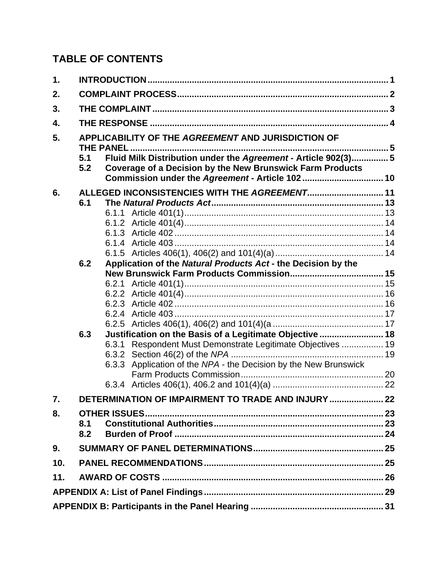# **TABLE OF CONTENTS**

| 1.  |                                                                                                                                                                                              |  |                                                                  |  |  |
|-----|----------------------------------------------------------------------------------------------------------------------------------------------------------------------------------------------|--|------------------------------------------------------------------|--|--|
| 2.  |                                                                                                                                                                                              |  |                                                                  |  |  |
| 3.  |                                                                                                                                                                                              |  |                                                                  |  |  |
| 4.  |                                                                                                                                                                                              |  |                                                                  |  |  |
| 5.  | APPLICABILITY OF THE AGREEMENT AND JURISDICTION OF                                                                                                                                           |  |                                                                  |  |  |
|     | Fluid Milk Distribution under the Agreement - Article 902(3) 5<br>5.1<br>Coverage of a Decision by the New Brunswick Farm Products<br>5.2<br>Commission under the Agreement - Article 102 10 |  |                                                                  |  |  |
| 6.  |                                                                                                                                                                                              |  |                                                                  |  |  |
|     | ALLEGED INCONSISTENCIES WITH THE AGREEMENT 11<br>6.1                                                                                                                                         |  |                                                                  |  |  |
|     |                                                                                                                                                                                              |  |                                                                  |  |  |
|     |                                                                                                                                                                                              |  |                                                                  |  |  |
|     |                                                                                                                                                                                              |  |                                                                  |  |  |
|     |                                                                                                                                                                                              |  |                                                                  |  |  |
|     |                                                                                                                                                                                              |  |                                                                  |  |  |
|     | 6.2                                                                                                                                                                                          |  | Application of the Natural Products Act - the Decision by the    |  |  |
|     |                                                                                                                                                                                              |  |                                                                  |  |  |
|     |                                                                                                                                                                                              |  |                                                                  |  |  |
|     |                                                                                                                                                                                              |  |                                                                  |  |  |
|     |                                                                                                                                                                                              |  |                                                                  |  |  |
|     |                                                                                                                                                                                              |  |                                                                  |  |  |
|     |                                                                                                                                                                                              |  |                                                                  |  |  |
|     | 6.3                                                                                                                                                                                          |  | Justification on the Basis of a Legitimate Objective  18         |  |  |
|     |                                                                                                                                                                                              |  | 6.3.1 Respondent Must Demonstrate Legitimate Objectives  19      |  |  |
|     |                                                                                                                                                                                              |  |                                                                  |  |  |
|     |                                                                                                                                                                                              |  | 6.3.3 Application of the NPA - the Decision by the New Brunswick |  |  |
|     |                                                                                                                                                                                              |  |                                                                  |  |  |
|     |                                                                                                                                                                                              |  |                                                                  |  |  |
| 7.  |                                                                                                                                                                                              |  | DETERMINATION OF IMPAIRMENT TO TRADE AND INJURY  22              |  |  |
| 8.  |                                                                                                                                                                                              |  |                                                                  |  |  |
|     | 8.1                                                                                                                                                                                          |  |                                                                  |  |  |
|     | 8.2                                                                                                                                                                                          |  |                                                                  |  |  |
| 9.  |                                                                                                                                                                                              |  |                                                                  |  |  |
| 10. |                                                                                                                                                                                              |  |                                                                  |  |  |
| 11. |                                                                                                                                                                                              |  |                                                                  |  |  |
|     |                                                                                                                                                                                              |  |                                                                  |  |  |
|     |                                                                                                                                                                                              |  |                                                                  |  |  |
|     |                                                                                                                                                                                              |  |                                                                  |  |  |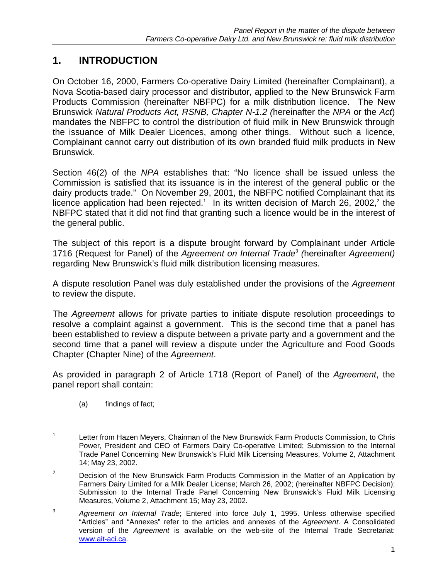# **1. INTRODUCTION**

On October 16, 2000, Farmers Co-operative Dairy Limited (hereinafter Complainant), a Nova Scotia-based dairy processor and distributor, applied to the New Brunswick Farm Products Commission (hereinafter NBFPC) for a milk distribution licence. The New Brunswick *Natural Products Act, RSNB, Chapter N-1.2 (*hereinafter the *NPA* or the *Act*) mandates the NBFPC to control the distribution of fluid milk in New Brunswick through the issuance of Milk Dealer Licences, among other things. Without such a licence, Complainant cannot carry out distribution of its own branded fluid milk products in New Brunswick.

Section 46(2) of the *NPA* establishes that: "No licence shall be issued unless the Commission is satisfied that its issuance is in the interest of the general public or the dairy products trade." On November 29, 2001, the NBFPC notified Complainant that its licence application had been rejected.<sup>1</sup> In its written decision of March 26, 2002,<sup>2</sup> the NBFPC stated that it did not find that granting such a licence would be in the interest of the general public.

The subject of this report is a dispute brought forward by Complainant under Article 1716 (Request for Panel) of the *Agreement on Internal Trade*<sup>3</sup>  *(*hereinafter *Agreement)* regarding New Brunswick's fluid milk distribution licensing measures.

A dispute resolution Panel was duly established under the provisions of the *Agreement* to review the dispute.

The *Agreement* allows for private parties to initiate dispute resolution proceedings to resolve a complaint against a government. This is the second time that a panel has been established to review a dispute between a private party and a government and the second time that a panel will review a dispute under the Agriculture and Food Goods Chapter (Chapter Nine) of the *Agreement*.

As provided in paragraph 2 of Article 1718 (Report of Panel) of the *Agreement*, the panel report shall contain:

(a) findings of fact;

 $\overline{a}$ 

<sup>1</sup> Letter from Hazen Meyers, Chairman of the New Brunswick Farm Products Commission, to Chris Power, President and CEO of Farmers Dairy Co-operative Limited; Submission to the Internal Trade Panel Concerning New Brunswick's Fluid Milk Licensing Measures, Volume 2, Attachment 14; May 23, 2002.

<sup>&</sup>lt;sup>2</sup> Decision of the New Brunswick Farm Products Commission in the Matter of an Application by Farmers Dairy Limited for a Milk Dealer License; March 26, 2002; (hereinafter NBFPC Decision); Submission to the Internal Trade Panel Concerning New Brunswick's Fluid Milk Licensing Measures, Volume 2, Attachment 15; May 23, 2002.

<sup>3</sup> *Agreement on Internal Trade*; Entered into force July 1, 1995. Unless otherwise specified "Articles" and "Annexes" refer to the articles and annexes of the *Agreement*. A Consolidated version of the *Agreement* is available on the web-site of the Internal Trade Secretariat: www.ait-aci.ca.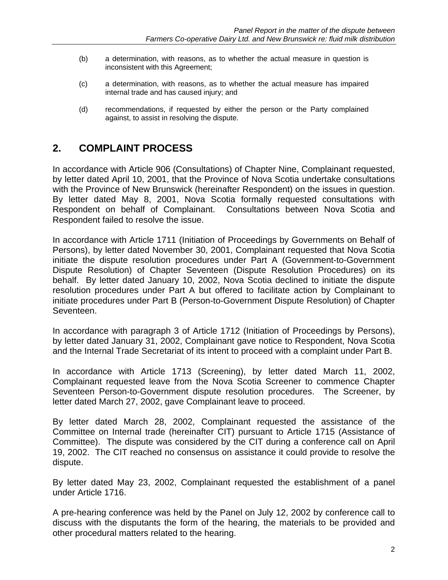- (b) a determination, with reasons, as to whether the actual measure in question is inconsistent with this Agreement;
- (c) a determination, with reasons, as to whether the actual measure has impaired internal trade and has caused injury; and
- (d) recommendations, if requested by either the person or the Party complained against, to assist in resolving the dispute.

## **2. COMPLAINT PROCESS**

In accordance with Article 906 (Consultations) of Chapter Nine, Complainant requested, by letter dated April 10, 2001, that the Province of Nova Scotia undertake consultations with the Province of New Brunswick (hereinafter Respondent) on the issues in question. By letter dated May 8, 2001, Nova Scotia formally requested consultations with Respondent on behalf of Complainant. Consultations between Nova Scotia and Respondent failed to resolve the issue.

In accordance with Article 1711 (Initiation of Proceedings by Governments on Behalf of Persons), by letter dated November 30, 2001, Complainant requested that Nova Scotia initiate the dispute resolution procedures under Part A (Government-to-Government Dispute Resolution) of Chapter Seventeen (Dispute Resolution Procedures) on its behalf. By letter dated January 10, 2002, Nova Scotia declined to initiate the dispute resolution procedures under Part A but offered to facilitate action by Complainant to initiate procedures under Part B (Person-to-Government Dispute Resolution) of Chapter Seventeen.

In accordance with paragraph 3 of Article 1712 (Initiation of Proceedings by Persons), by letter dated January 31, 2002, Complainant gave notice to Respondent, Nova Scotia and the Internal Trade Secretariat of its intent to proceed with a complaint under Part B.

In accordance with Article 1713 (Screening), by letter dated March 11, 2002, Complainant requested leave from the Nova Scotia Screener to commence Chapter Seventeen Person-to-Government dispute resolution procedures. The Screener, by letter dated March 27, 2002, gave Complainant leave to proceed.

By letter dated March 28, 2002, Complainant requested the assistance of the Committee on Internal trade (hereinafter CIT) pursuant to Article 1715 (Assistance of Committee). The dispute was considered by the CIT during a conference call on April 19, 2002. The CIT reached no consensus on assistance it could provide to resolve the dispute.

By letter dated May 23, 2002, Complainant requested the establishment of a panel under Article 1716.

A pre-hearing conference was held by the Panel on July 12, 2002 by conference call to discuss with the disputants the form of the hearing, the materials to be provided and other procedural matters related to the hearing.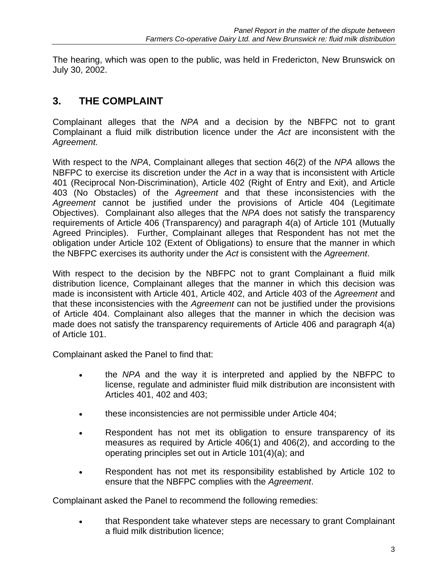The hearing, which was open to the public, was held in Fredericton, New Brunswick on July 30, 2002.

## **3. THE COMPLAINT**

Complainant alleges that the *NPA* and a decision by the NBFPC not to grant Complainant a fluid milk distribution licence under the *Act* are inconsistent with the *Agreement.* 

With respect to the *NPA*, Complainant alleges that section 46(2) of the *NPA* allows the NBFPC to exercise its discretion under the *Act* in a way that is inconsistent with Article 401 (Reciprocal Non-Discrimination), Article 402 (Right of Entry and Exit), and Article 403 (No Obstacles) of the *Agreement* and that these inconsistencies with the *Agreement* cannot be justified under the provisions of Article 404 (Legitimate Objectives). Complainant also alleges that the *NPA* does not satisfy the transparency requirements of Article 406 (Transparency) and paragraph 4(a) of Article 101 (Mutually Agreed Principles). Further, Complainant alleges that Respondent has not met the obligation under Article 102 (Extent of Obligations) to ensure that the manner in which the NBFPC exercises its authority under the *Act* is consistent with the *Agreement*.

With respect to the decision by the NBFPC not to grant Complainant a fluid milk distribution licence, Complainant alleges that the manner in which this decision was made is inconsistent with Article 401, Article 402, and Article 403 of the *Agreement* and that these inconsistencies with the *Agreement* can not be justified under the provisions of Article 404. Complainant also alleges that the manner in which the decision was made does not satisfy the transparency requirements of Article 406 and paragraph 4(a) of Article 101.

Complainant asked the Panel to find that:

- the *NPA* and the way it is interpreted and applied by the NBFPC to license, regulate and administer fluid milk distribution are inconsistent with Articles 401, 402 and 403;
- these inconsistencies are not permissible under Article 404;
- Respondent has not met its obligation to ensure transparency of its measures as required by Article 406(1) and 406(2), and according to the operating principles set out in Article 101(4)(a); and
- Respondent has not met its responsibility established by Article 102 to ensure that the NBFPC complies with the *Agreement*.

Complainant asked the Panel to recommend the following remedies:

• that Respondent take whatever steps are necessary to grant Complainant a fluid milk distribution licence;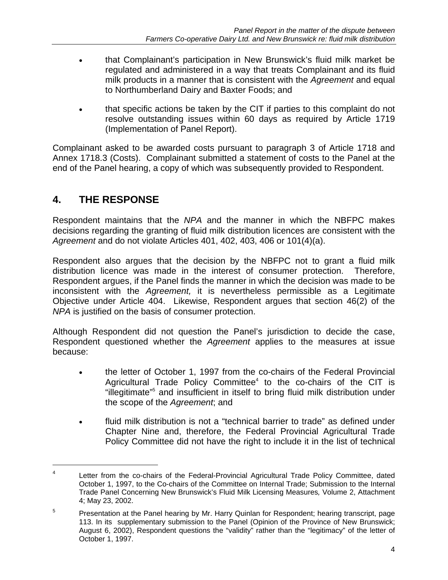- that Complainant's participation in New Brunswick's fluid milk market be regulated and administered in a way that treats Complainant and its fluid milk products in a manner that is consistent with the *Agreement* and equal to Northumberland Dairy and Baxter Foods; and
- that specific actions be taken by the CIT if parties to this complaint do not resolve outstanding issues within 60 days as required by Article 1719 (Implementation of Panel Report).

Complainant asked to be awarded costs pursuant to paragraph 3 of Article 1718 and Annex 1718.3 (Costs). Complainant submitted a statement of costs to the Panel at the end of the Panel hearing, a copy of which was subsequently provided to Respondent.

## **4. THE RESPONSE**

 $\overline{a}$ 

Respondent maintains that the *NPA* and the manner in which the NBFPC makes decisions regarding the granting of fluid milk distribution licences are consistent with the *Agreement* and do not violate Articles 401, 402, 403, 406 or 101(4)(a).

Respondent also argues that the decision by the NBFPC not to grant a fluid milk distribution licence was made in the interest of consumer protection. Therefore, Respondent argues, if the Panel finds the manner in which the decision was made to be inconsistent with the *Agreement,* it is nevertheless permissible as a Legitimate Objective under Article 404. Likewise, Respondent argues that section 46(2) of the *NPA* is justified on the basis of consumer protection.

Although Respondent did not question the Panel's jurisdiction to decide the case, Respondent questioned whether the *Agreement* applies to the measures at issue because:

- the letter of October 1, 1997 from the co-chairs of the Federal Provincial Agricultural Trade Policy Committee $4$  to the co-chairs of the CIT is "illegitimate"5 and insufficient in itself to bring fluid milk distribution under the scope of the *Agreement*; and
- fluid milk distribution is not a "technical barrier to trade" as defined under Chapter Nine and, therefore, the Federal Provincial Agricultural Trade Policy Committee did not have the right to include it in the list of technical

<sup>4</sup> Letter from the co-chairs of the Federal-Provincial Agricultural Trade Policy Committee, dated October 1, 1997, to the Co-chairs of the Committee on Internal Trade; Submission to the Internal Trade Panel Concerning New Brunswick's Fluid Milk Licensing Measures*,* Volume 2, Attachment 4; May 23, 2002.

<sup>5</sup> Presentation at the Panel hearing by Mr. Harry Quinlan for Respondent; hearing transcript, page 113. In its supplementary submission to the Panel (Opinion of the Province of New Brunswick; August 6, 2002), Respondent questions the "validity" rather than the "legitimacy" of the letter of October 1, 1997.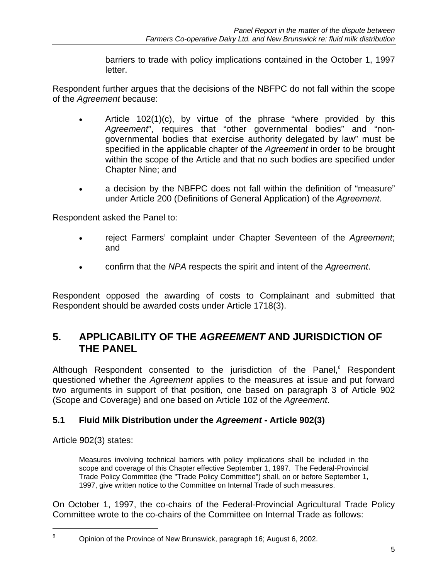barriers to trade with policy implications contained in the October 1, 1997 letter.

Respondent further argues that the decisions of the NBFPC do not fall within the scope of the *Agreement* because:

- Article  $102(1)(c)$ , by virtue of the phrase "where provided by this *Agreement*", requires that "other governmental bodies" and "nongovernmental bodies that exercise authority delegated by law" must be specified in the applicable chapter of the *Agreement* in order to be brought within the scope of the Article and that no such bodies are specified under Chapter Nine; and
- a decision by the NBFPC does not fall within the definition of "measure" under Article 200 (Definitions of General Application) of the *Agreement*.

Respondent asked the Panel to:

- reject Farmers' complaint under Chapter Seventeen of the *Agreement*; and
- confirm that the *NPA* respects the spirit and intent of the *Agreement*.

Respondent opposed the awarding of costs to Complainant and submitted that Respondent should be awarded costs under Article 1718(3).

## **5. APPLICABILITY OF THE** *AGREEMENT* **AND JURISDICTION OF THE PANEL**

Although Respondent consented to the jurisdiction of the Panel,<sup>6</sup> Respondent questioned whether the *Agreement* applies to the measures at issue and put forward two arguments in support of that position, one based on paragraph 3 of Article 902 (Scope and Coverage) and one based on Article 102 of the *Agreement*.

### **5.1 Fluid Milk Distribution under the** *Agreement* **- Article 902(3)**

Article 902(3) states:

1

Measures involving technical barriers with policy implications shall be included in the scope and coverage of this Chapter effective September 1, 1997. The Federal-Provincial Trade Policy Committee (the "Trade Policy Committee") shall, on or before September 1, 1997, give written notice to the Committee on Internal Trade of such measures.

On October 1, 1997, the co-chairs of the Federal-Provincial Agricultural Trade Policy Committee wrote to the co-chairs of the Committee on Internal Trade as follows:

<sup>6</sup> Opinion of the Province of New Brunswick, paragraph 16; August 6, 2002.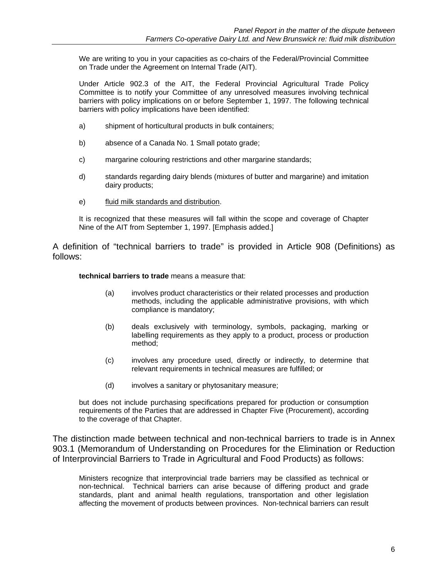We are writing to you in your capacities as co-chairs of the Federal/Provincial Committee on Trade under the Agreement on Internal Trade (AIT).

Under Article 902.3 of the AIT, the Federal Provincial Agricultural Trade Policy Committee is to notify your Committee of any unresolved measures involving technical barriers with policy implications on or before September 1, 1997. The following technical barriers with policy implications have been identified:

- a) shipment of horticultural products in bulk containers;
- b) absence of a Canada No. 1 Small potato grade;
- c) margarine colouring restrictions and other margarine standards;
- d) standards regarding dairy blends (mixtures of butter and margarine) and imitation dairy products;
- e) fluid milk standards and distribution.

It is recognized that these measures will fall within the scope and coverage of Chapter Nine of the AIT from September 1, 1997. [Emphasis added.]

A definition of "technical barriers to trade" is provided in Article 908 (Definitions) as follows:

**technical barriers to trade** means a measure that:

- (a) involves product characteristics or their related processes and production methods, including the applicable administrative provisions, with which compliance is mandatory;
- (b) deals exclusively with terminology, symbols, packaging, marking or labelling requirements as they apply to a product, process or production method;
- (c) involves any procedure used, directly or indirectly, to determine that relevant requirements in technical measures are fulfilled; or
- (d) involves a sanitary or phytosanitary measure;

but does not include purchasing specifications prepared for production or consumption requirements of the Parties that are addressed in Chapter Five (Procurement), according to the coverage of that Chapter.

The distinction made between technical and non-technical barriers to trade is in Annex 903.1 (Memorandum of Understanding on Procedures for the Elimination or Reduction of Interprovincial Barriers to Trade in Agricultural and Food Products) as follows:

Ministers recognize that interprovincial trade barriers may be classified as technical or non-technical. Technical barriers can arise because of differing product and grade standards, plant and animal health regulations, transportation and other legislation affecting the movement of products between provinces. Non-technical barriers can result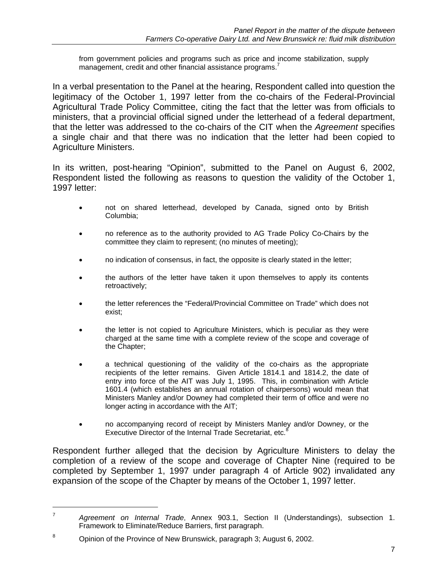from government policies and programs such as price and income stabilization, supply management, credit and other financial assistance programs.<sup>7</sup>

In a verbal presentation to the Panel at the hearing, Respondent called into question the legitimacy of the October 1, 1997 letter from the co-chairs of the Federal-Provincial Agricultural Trade Policy Committee, citing the fact that the letter was from officials to ministers, that a provincial official signed under the letterhead of a federal department, that the letter was addressed to the co-chairs of the CIT when the *Agreement* specifies a single chair and that there was no indication that the letter had been copied to Agriculture Ministers.

In its written, post-hearing "Opinion", submitted to the Panel on August 6, 2002, Respondent listed the following as reasons to question the validity of the October 1, 1997 letter:

- not on shared letterhead, developed by Canada, signed onto by British Columbia;
- no reference as to the authority provided to AG Trade Policy Co-Chairs by the committee they claim to represent; (no minutes of meeting);
- no indication of consensus, in fact, the opposite is clearly stated in the letter;
- the authors of the letter have taken it upon themselves to apply its contents retroactively;
- the letter references the "Federal/Provincial Committee on Trade" which does not exist;
- the letter is not copied to Agriculture Ministers, which is peculiar as they were charged at the same time with a complete review of the scope and coverage of the Chapter;
- a technical questioning of the validity of the co-chairs as the appropriate recipients of the letter remains. Given Article 1814.1 and 1814.2, the date of entry into force of the AIT was July 1, 1995. This, in combination with Article 1601.4 (which establishes an annual rotation of chairpersons) would mean that Ministers Manley and/or Downey had completed their term of office and were no longer acting in accordance with the AIT;
- no accompanying record of receipt by Ministers Manley and/or Downey, or the Executive Director of the Internal Trade Secretariat, etc.<sup>8</sup>

Respondent further alleged that the decision by Agriculture Ministers to delay the completion of a review of the scope and coverage of Chapter Nine (required to be completed by September 1, 1997 under paragraph 4 of Article 902) invalidated any expansion of the scope of the Chapter by means of the October 1, 1997 letter.

 $\overline{a}$ 

<sup>7</sup>  *Agreement on Internal Trade*, Annex 903.1, Section II (Understandings), subsection 1. Framework to Eliminate/Reduce Barriers, first paragraph.

<sup>8</sup> Opinion of the Province of New Brunswick, paragraph 3; August 6, 2002.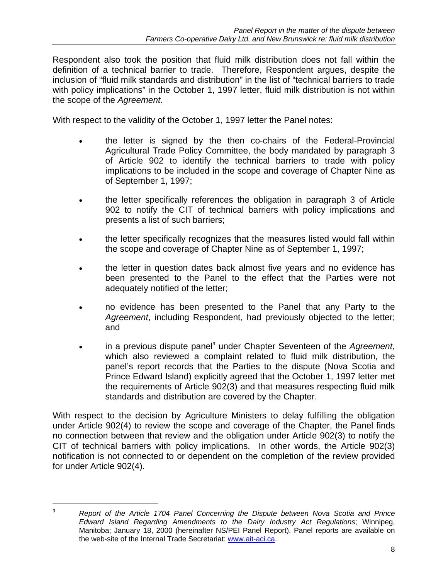Respondent also took the position that fluid milk distribution does not fall within the definition of a technical barrier to trade. Therefore, Respondent argues, despite the inclusion of "fluid milk standards and distribution" in the list of "technical barriers to trade with policy implications" in the October 1, 1997 letter, fluid milk distribution is not within the scope of the *Agreement*.

With respect to the validity of the October 1, 1997 letter the Panel notes:

- the letter is signed by the then co-chairs of the Federal-Provincial Agricultural Trade Policy Committee, the body mandated by paragraph 3 of Article 902 to identify the technical barriers to trade with policy implications to be included in the scope and coverage of Chapter Nine as of September 1, 1997;
- the letter specifically references the obligation in paragraph 3 of Article 902 to notify the CIT of technical barriers with policy implications and presents a list of such barriers;
- the letter specifically recognizes that the measures listed would fall within the scope and coverage of Chapter Nine as of September 1, 1997;
- the letter in question dates back almost five years and no evidence has been presented to the Panel to the effect that the Parties were not adequately notified of the letter;
- no evidence has been presented to the Panel that any Party to the *Agreement*, including Respondent, had previously objected to the letter; and
- in a previous dispute panel<sup>9</sup> under Chapter Seventeen of the *Agreement*, which also reviewed a complaint related to fluid milk distribution, the panel's report records that the Parties to the dispute (Nova Scotia and Prince Edward Island) explicitly agreed that the October 1, 1997 letter met the requirements of Article 902(3) and that measures respecting fluid milk standards and distribution are covered by the Chapter.

With respect to the decision by Agriculture Ministers to delay fulfilling the obligation under Article 902(4) to review the scope and coverage of the Chapter, the Panel finds no connection between that review and the obligation under Article 902(3) to notify the CIT of technical barriers with policy implications. In other words, the Article 902(3) notification is not connected to or dependent on the completion of the review provided for under Article 902(4).

 $\overline{a}$ 

<sup>9</sup> *Report of the Article 1704 Panel Concerning the Dispute between Nova Scotia and Prince Edward Island Regarding Amendments to the Dairy Industry Act Regulations*; Winnipeg, Manitoba; January 18, 2000 (hereinafter NS/PEI Panel Report). Panel reports are available on the web-site of the Internal Trade Secretariat: www.ait-aci.ca.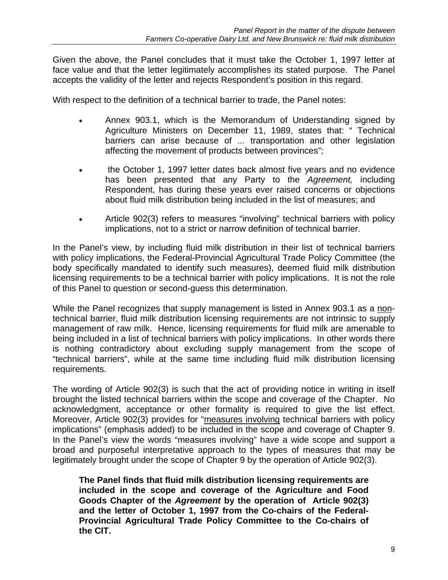Given the above, the Panel concludes that it must take the October 1, 1997 letter at face value and that the letter legitimately accomplishes its stated purpose. The Panel accepts the validity of the letter and rejects Respondent's position in this regard.

With respect to the definition of a technical barrier to trade, the Panel notes:

- Annex 903.1, which is the Memorandum of Understanding signed by Agriculture Ministers on December 11, 1989, states that: " Technical barriers can arise because of ... transportation and other legislation affecting the movement of products between provinces";
- the October 1, 1997 letter dates back almost five years and no evidence has been presented that any Party to the *Agreement,* including Respondent, has during these years ever raised concerns or objections about fluid milk distribution being included in the list of measures; and
- Article 902(3) refers to measures "involving" technical barriers with policy implications, not to a strict or narrow definition of technical barrier.

In the Panel's view, by including fluid milk distribution in their list of technical barriers with policy implications, the Federal-Provincial Agricultural Trade Policy Committee (the body specifically mandated to identify such measures), deemed fluid milk distribution licensing requirements to be a technical barrier with policy implications. It is not the role of this Panel to question or second-guess this determination.

While the Panel recognizes that supply management is listed in Annex 903.1 as a nontechnical barrier, fluid milk distribution licensing requirements are not intrinsic to supply management of raw milk. Hence, licensing requirements for fluid milk are amenable to being included in a list of technical barriers with policy implications. In other words there is nothing contradictory about excluding supply management from the scope of "technical barriers", while at the same time including fluid milk distribution licensing requirements.

The wording of Article 902(3) is such that the act of providing notice in writing in itself brought the listed technical barriers within the scope and coverage of the Chapter. No acknowledgment, acceptance or other formality is required to give the list effect. Moreover, Article 902(3) provides for "measures involving technical barriers with policy implications" (emphasis added) to be included in the scope and coverage of Chapter 9. In the Panel's view the words "measures involving" have a wide scope and support a broad and purposeful interpretative approach to the types of measures that may be legitimately brought under the scope of Chapter 9 by the operation of Article 902(3).

**The Panel finds that fluid milk distribution licensing requirements are included in the scope and coverage of the Agriculture and Food Goods Chapter of the** *Agreement* **by the operation of Article 902(3) and the letter of October 1, 1997 from the Co-chairs of the Federal-Provincial Agricultural Trade Policy Committee to the Co-chairs of the CIT.**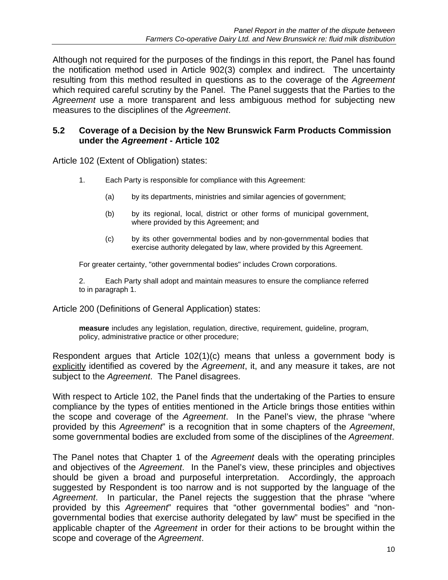Although not required for the purposes of the findings in this report, the Panel has found the notification method used in Article 902(3) complex and indirect. The uncertainty resulting from this method resulted in questions as to the coverage of the *Agreement* which required careful scrutiny by the Panel. The Panel suggests that the Parties to the *Agreement* use a more transparent and less ambiguous method for subjecting new measures to the disciplines of the *Agreement*.

#### **5.2 Coverage of a Decision by the New Brunswick Farm Products Commission under the** *Agreement* **- Article 102**

Article 102 (Extent of Obligation) states:

- 1. Each Party is responsible for compliance with this Agreement:
	- (a) by its departments, ministries and similar agencies of government;
	- (b) by its regional, local, district or other forms of municipal government, where provided by this Agreement; and
	- (c) by its other governmental bodies and by non-governmental bodies that exercise authority delegated by law, where provided by this Agreement.

For greater certainty, "other governmental bodies" includes Crown corporations.

2. Each Party shall adopt and maintain measures to ensure the compliance referred to in paragraph 1.

Article 200 (Definitions of General Application) states:

**measure** includes any legislation, regulation, directive, requirement, guideline, program, policy, administrative practice or other procedure;

Respondent argues that Article 102(1)(c) means that unless a government body is explicitly identified as covered by the *Agreement*, it, and any measure it takes, are not subject to the *Agreement*. The Panel disagrees.

With respect to Article 102, the Panel finds that the undertaking of the Parties to ensure compliance by the types of entities mentioned in the Article brings those entities within the scope and coverage of the *Agreement*. In the Panel's view, the phrase "where provided by this *Agreement*" is a recognition that in some chapters of the *Agreement*, some governmental bodies are excluded from some of the disciplines of the *Agreement*.

The Panel notes that Chapter 1 of the *Agreement* deals with the operating principles and objectives of the *Agreement*. In the Panel's view, these principles and objectives should be given a broad and purposeful interpretation. Accordingly, the approach suggested by Respondent is too narrow and is not supported by the language of the *Agreement*. In particular, the Panel rejects the suggestion that the phrase "where provided by this *Agreement*" requires that "other governmental bodies" and "nongovernmental bodies that exercise authority delegated by law" must be specified in the applicable chapter of the *Agreement* in order for their actions to be brought within the scope and coverage of the *Agreement*.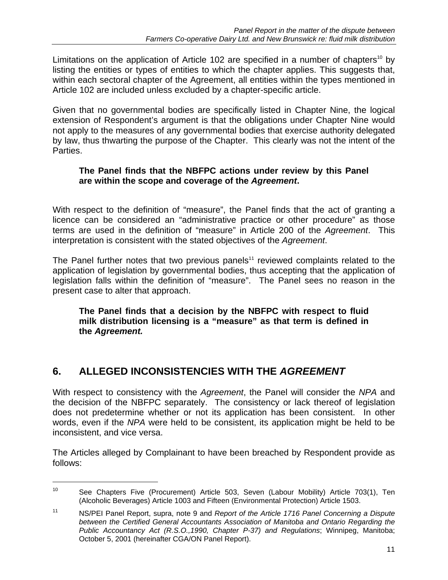Limitations on the application of Article 102 are specified in a number of chapters<sup>10</sup> by listing the entities or types of entities to which the chapter applies. This suggests that, within each sectoral chapter of the Agreement, all entities within the types mentioned in Article 102 are included unless excluded by a chapter-specific article.

Given that no governmental bodies are specifically listed in Chapter Nine, the logical extension of Respondent's argument is that the obligations under Chapter Nine would not apply to the measures of any governmental bodies that exercise authority delegated by law, thus thwarting the purpose of the Chapter. This clearly was not the intent of the Parties.

#### **The Panel finds that the NBFPC actions under review by this Panel are within the scope and coverage of the** *Agreement***.**

With respect to the definition of "measure", the Panel finds that the act of granting a licence can be considered an "administrative practice or other procedure" as those terms are used in the definition of "measure" in Article 200 of the *Agreement*. This interpretation is consistent with the stated objectives of the *Agreement*.

The Panel further notes that two previous panels<sup>11</sup> reviewed complaints related to the application of legislation by governmental bodies, thus accepting that the application of legislation falls within the definition of "measure". The Panel sees no reason in the present case to alter that approach.

**The Panel finds that a decision by the NBFPC with respect to fluid milk distribution licensing is a "measure" as that term is defined in the** *Agreement.* 

# **6. ALLEGED INCONSISTENCIES WITH THE** *AGREEMENT*

1

With respect to consistency with the *Agreement*, the Panel will consider the *NPA* and the decision of the NBFPC separately. The consistency or lack thereof of legislation does not predetermine whether or not its application has been consistent. In other words, even if the *NPA* were held to be consistent, its application might be held to be inconsistent, and vice versa.

The Articles alleged by Complainant to have been breached by Respondent provide as follows:

<sup>&</sup>lt;sup>10</sup> See Chapters Five (Procurement) Article 503, Seven (Labour Mobility) Article 703(1), Ten (Alcoholic Beverages) Article 1003 and Fifteen (Environmental Protection) Article 1503.

<sup>11</sup> NS/PEI Panel Report, supra, note 9 and *Report of the Article 1716 Panel Concerning a Dispute between the Certified General Accountants Association of Manitoba and Ontario Regarding the Public Accountancy Act (R.S.O.,1990, Chapter P-37) and Regulations*; Winnipeg, Manitoba; October 5, 2001 (hereinafter CGA/ON Panel Report).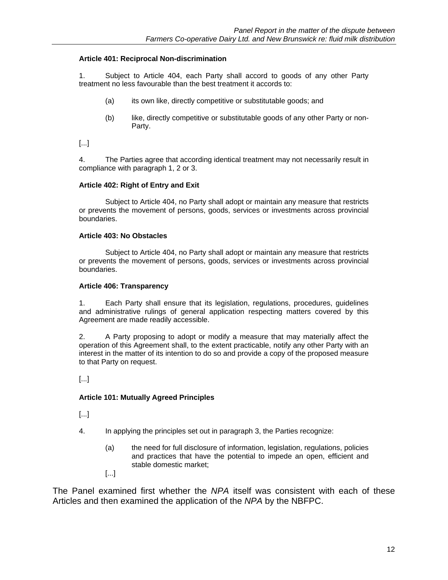#### **Article 401: Reciprocal Non-discrimination**

1. Subject to Article 404, each Party shall accord to goods of any other Party treatment no less favourable than the best treatment it accords to:

- (a) its own like, directly competitive or substitutable goods; and
- (b) like, directly competitive or substitutable goods of any other Party or non-Party.

[...]

4. The Parties agree that according identical treatment may not necessarily result in compliance with paragraph 1, 2 or 3.

#### **Article 402: Right of Entry and Exit**

 Subject to Article 404, no Party shall adopt or maintain any measure that restricts or prevents the movement of persons, goods, services or investments across provincial boundaries.

#### **Article 403: No Obstacles**

 Subject to Article 404, no Party shall adopt or maintain any measure that restricts or prevents the movement of persons, goods, services or investments across provincial boundaries.

#### **Article 406: Transparency**

1. Each Party shall ensure that its legislation, regulations, procedures, guidelines and administrative rulings of general application respecting matters covered by this Agreement are made readily accessible.

2. A Party proposing to adopt or modify a measure that may materially affect the operation of this Agreement shall, to the extent practicable, notify any other Party with an interest in the matter of its intention to do so and provide a copy of the proposed measure to that Party on request.

[...]

#### **Article 101: Mutually Agreed Principles**

[...]

- 4. In applying the principles set out in paragraph 3, the Parties recognize:
	- (a) the need for full disclosure of information, legislation, regulations, policies and practices that have the potential to impede an open, efficient and stable domestic market;
	- [...]

The Panel examined first whether the *NPA* itself was consistent with each of these Articles and then examined the application of the *NPA* by the NBFPC.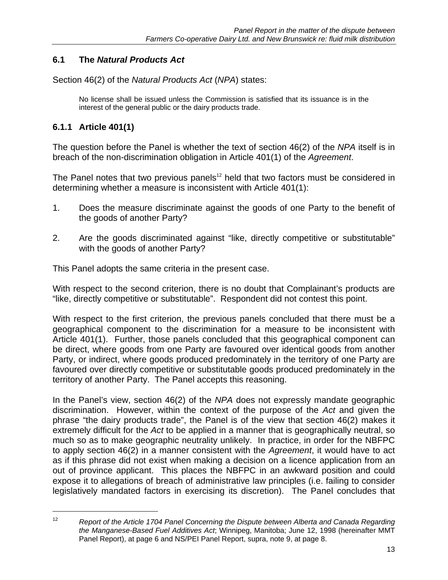### **6.1 The** *Natural Products Act*

Section 46(2) of the *Natural Products Act* (*NPA*) states:

No license shall be issued unless the Commission is satisfied that its issuance is in the interest of the general public or the dairy products trade.

### **6.1.1 Article 401(1)**

 $\overline{a}$ 

The question before the Panel is whether the text of section 46(2) of the *NPA* itself is in breach of the non-discrimination obligation in Article 401(1) of the *Agreement*.

The Panel notes that two previous panels<sup>12</sup> held that two factors must be considered in determining whether a measure is inconsistent with Article 401(1):

- 1. Does the measure discriminate against the goods of one Party to the benefit of the goods of another Party?
- 2. Are the goods discriminated against "like, directly competitive or substitutable" with the goods of another Party?

This Panel adopts the same criteria in the present case.

With respect to the second criterion, there is no doubt that Complainant's products are "like, directly competitive or substitutable". Respondent did not contest this point.

With respect to the first criterion, the previous panels concluded that there must be a geographical component to the discrimination for a measure to be inconsistent with Article 401(1). Further, those panels concluded that this geographical component can be direct, where goods from one Party are favoured over identical goods from another Party, or indirect, where goods produced predominately in the territory of one Party are favoured over directly competitive or substitutable goods produced predominately in the territory of another Party. The Panel accepts this reasoning.

In the Panel's view, section 46(2) of the *NPA* does not expressly mandate geographic discrimination. However, within the context of the purpose of the *Act* and given the phrase "the dairy products trade", the Panel is of the view that section 46(2) makes it extremely difficult for the *Act* to be applied in a manner that is geographically neutral, so much so as to make geographic neutrality unlikely. In practice, in order for the NBFPC to apply section 46(2) in a manner consistent with the *Agreement*, it would have to act as if this phrase did not exist when making a decision on a licence application from an out of province applicant. This places the NBFPC in an awkward position and could expose it to allegations of breach of administrative law principles (i.e. failing to consider legislatively mandated factors in exercising its discretion). The Panel concludes that

<sup>12</sup> *Report of the Article 1704 Panel Concerning the Dispute between Alberta and Canada Regarding the Manganese-Based Fuel Additives Act*; Winnipeg, Manitoba; June 12, 1998 (hereinafter MMT Panel Report), at page 6 and NS/PEI Panel Report, supra, note 9, at page 8.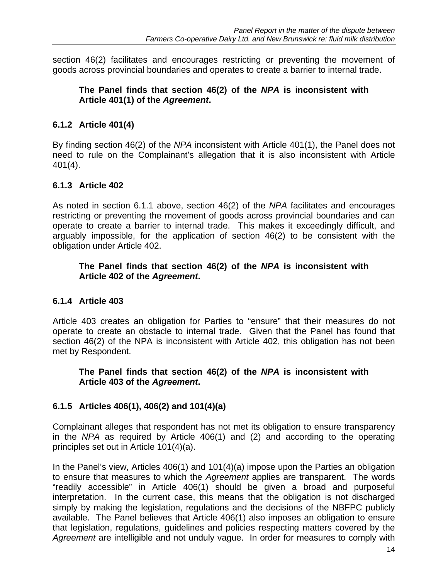section 46(2) facilitates and encourages restricting or preventing the movement of goods across provincial boundaries and operates to create a barrier to internal trade.

#### **The Panel finds that section 46(2) of the** *NPA* **is inconsistent with Article 401(1) of the** *Agreement***.**

### **6.1.2 Article 401(4)**

By finding section 46(2) of the *NPA* inconsistent with Article 401(1), the Panel does not need to rule on the Complainant's allegation that it is also inconsistent with Article 401(4).

### **6.1.3 Article 402**

As noted in section 6.1.1 above, section 46(2) of the *NPA* facilitates and encourages restricting or preventing the movement of goods across provincial boundaries and can operate to create a barrier to internal trade. This makes it exceedingly difficult, and arguably impossible, for the application of section 46(2) to be consistent with the obligation under Article 402.

#### **The Panel finds that section 46(2) of the** *NPA* **is inconsistent with Article 402 of the** *Agreement***.**

### **6.1.4 Article 403**

Article 403 creates an obligation for Parties to "ensure" that their measures do not operate to create an obstacle to internal trade. Given that the Panel has found that section 46(2) of the NPA is inconsistent with Article 402, this obligation has not been met by Respondent.

#### **The Panel finds that section 46(2) of the** *NPA* **is inconsistent with Article 403 of the** *Agreement***.**

### **6.1.5 Articles 406(1), 406(2) and 101(4)(a)**

Complainant alleges that respondent has not met its obligation to ensure transparency in the *NPA* as required by Article 406(1) and (2) and according to the operating principles set out in Article 101(4)(a).

In the Panel's view, Articles 406(1) and 101(4)(a) impose upon the Parties an obligation to ensure that measures to which the *Agreement* applies are transparent. The words "readily accessible" in Article 406(1) should be given a broad and purposeful interpretation. In the current case, this means that the obligation is not discharged simply by making the legislation, regulations and the decisions of the NBFPC publicly available. The Panel believes that Article 406(1) also imposes an obligation to ensure that legislation, regulations, guidelines and policies respecting matters covered by the *Agreement* are intelligible and not unduly vague. In order for measures to comply with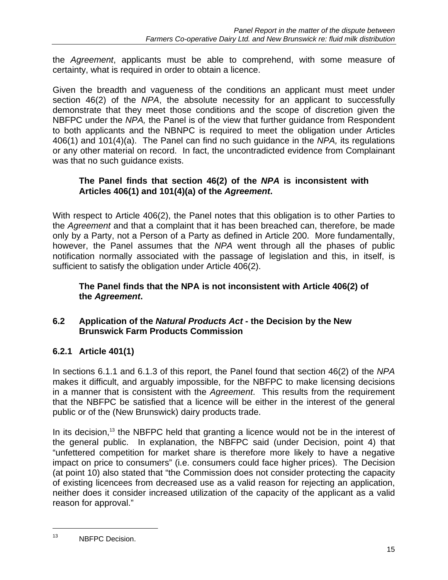the *Agreement*, applicants must be able to comprehend, with some measure of certainty, what is required in order to obtain a licence.

Given the breadth and vagueness of the conditions an applicant must meet under section 46(2) of the *NPA*, the absolute necessity for an applicant to successfully demonstrate that they meet those conditions and the scope of discretion given the NBFPC under the *NPA,* the Panel is of the view that further guidance from Respondent to both applicants and the NBNPC is required to meet the obligation under Articles 406(1) and 101(4)(a). The Panel can find no such guidance in the *NPA,* its regulations or any other material on record. In fact, the uncontradicted evidence from Complainant was that no such guidance exists.

#### **The Panel finds that section 46(2) of the** *NPA* **is inconsistent with Articles 406(1) and 101(4)(a) of the** *Agreement***.**

With respect to Article 406(2), the Panel notes that this obligation is to other Parties to the *Agreement* and that a complaint that it has been breached can, therefore, be made only by a Party, not a Person of a Party as defined in Article 200. More fundamentally, however, the Panel assumes that the *NPA* went through all the phases of public notification normally associated with the passage of legislation and this, in itself, is sufficient to satisfy the obligation under Article 406(2).

### **The Panel finds that the NPA is not inconsistent with Article 406(2) of the** *Agreement***.**

### **6.2 Application of the** *Natural Products Act* **- the Decision by the New Brunswick Farm Products Commission**

### **6.2.1 Article 401(1)**

In sections 6.1.1 and 6.1.3 of this report, the Panel found that section 46(2) of the *NPA* makes it difficult, and arguably impossible, for the NBFPC to make licensing decisions in a manner that is consistent with the *Agreement*. This results from the requirement that the NBFPC be satisfied that a licence will be either in the interest of the general public or of the (New Brunswick) dairy products trade.

In its decision,<sup>13</sup> the NBFPC held that granting a licence would not be in the interest of the general public. In explanation, the NBFPC said (under Decision, point 4) that "unfettered competition for market share is therefore more likely to have a negative impact on price to consumers" (i.e. consumers could face higher prices). The Decision (at point 10) also stated that "the Commission does not consider protecting the capacity of existing licencees from decreased use as a valid reason for rejecting an application, neither does it consider increased utilization of the capacity of the applicant as a valid reason for approval."

 $\overline{a}$ 

<sup>13</sup> NBFPC Decision.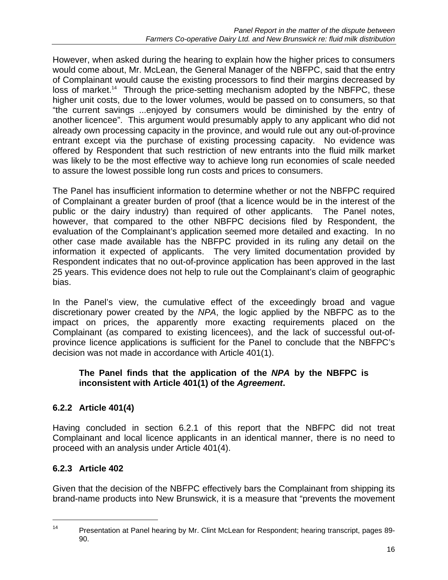However, when asked during the hearing to explain how the higher prices to consumers would come about, Mr. McLean, the General Manager of the NBFPC, said that the entry of Complainant would cause the existing processors to find their margins decreased by loss of market.<sup>14</sup> Through the price-setting mechanism adopted by the NBFPC, these higher unit costs, due to the lower volumes, would be passed on to consumers, so that "the current savings ...enjoyed by consumers would be diminished by the entry of another licencee". This argument would presumably apply to any applicant who did not already own processing capacity in the province, and would rule out any out-of-province entrant except via the purchase of existing processing capacity. No evidence was offered by Respondent that such restriction of new entrants into the fluid milk market was likely to be the most effective way to achieve long run economies of scale needed to assure the lowest possible long run costs and prices to consumers.

The Panel has insufficient information to determine whether or not the NBFPC required of Complainant a greater burden of proof (that a licence would be in the interest of the public or the dairy industry) than required of other applicants. The Panel notes, however, that compared to the other NBFPC decisions filed by Respondent, the evaluation of the Complainant's application seemed more detailed and exacting. In no other case made available has the NBFPC provided in its ruling any detail on the information it expected of applicants. The very limited documentation provided by Respondent indicates that no out-of-province application has been approved in the last 25 years. This evidence does not help to rule out the Complainant's claim of geographic bias.

In the Panel's view, the cumulative effect of the exceedingly broad and vague discretionary power created by the *NPA*, the logic applied by the NBFPC as to the impact on prices, the apparently more exacting requirements placed on the Complainant (as compared to existing licencees), and the lack of successful out-ofprovince licence applications is sufficient for the Panel to conclude that the NBFPC's decision was not made in accordance with Article 401(1).

#### **The Panel finds that the application of the** *NPA* **by the NBFPC is inconsistent with Article 401(1) of the** *Agreement***.**

### **6.2.2 Article 401(4)**

Having concluded in section 6.2.1 of this report that the NBFPC did not treat Complainant and local licence applicants in an identical manner, there is no need to proceed with an analysis under Article 401(4).

### **6.2.3 Article 402**

 $\overline{a}$ 

Given that the decision of the NBFPC effectively bars the Complainant from shipping its brand-name products into New Brunswick, it is a measure that "prevents the movement

<sup>&</sup>lt;sup>14</sup> Presentation at Panel hearing by Mr. Clint McLean for Respondent; hearing transcript, pages 89-90.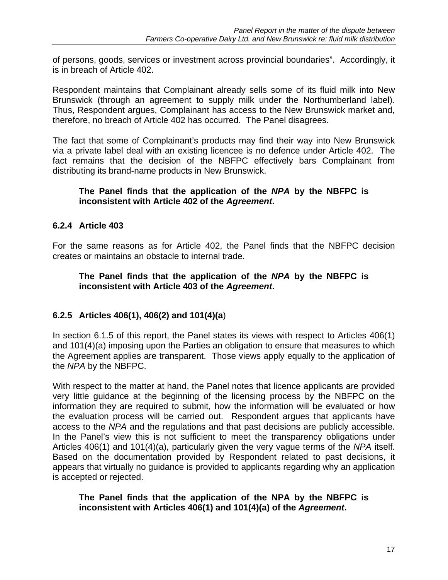of persons, goods, services or investment across provincial boundaries". Accordingly, it is in breach of Article 402.

Respondent maintains that Complainant already sells some of its fluid milk into New Brunswick (through an agreement to supply milk under the Northumberland label). Thus, Respondent argues, Complainant has access to the New Brunswick market and, therefore, no breach of Article 402 has occurred. The Panel disagrees.

The fact that some of Complainant's products may find their way into New Brunswick via a private label deal with an existing licencee is no defence under Article 402. The fact remains that the decision of the NBFPC effectively bars Complainant from distributing its brand-name products in New Brunswick.

#### **The Panel finds that the application of the** *NPA* **by the NBFPC is inconsistent with Article 402 of the** *Agreement***.**

#### **6.2.4 Article 403**

For the same reasons as for Article 402, the Panel finds that the NBFPC decision creates or maintains an obstacle to internal trade.

#### **The Panel finds that the application of the** *NPA* **by the NBFPC is inconsistent with Article 403 of the** *Agreement***.**

### **6.2.5 Articles 406(1), 406(2) and 101(4)(a**)

In section 6.1.5 of this report, the Panel states its views with respect to Articles 406(1) and 101(4)(a) imposing upon the Parties an obligation to ensure that measures to which the Agreement applies are transparent. Those views apply equally to the application of the *NPA* by the NBFPC.

With respect to the matter at hand, the Panel notes that licence applicants are provided very little guidance at the beginning of the licensing process by the NBFPC on the information they are required to submit, how the information will be evaluated or how the evaluation process will be carried out. Respondent argues that applicants have access to the *NPA* and the regulations and that past decisions are publicly accessible. In the Panel's view this is not sufficient to meet the transparency obligations under Articles 406(1) and 101(4)(a), particularly given the very vague terms of the *NPA* itself. Based on the documentation provided by Respondent related to past decisions, it appears that virtually no guidance is provided to applicants regarding why an application is accepted or rejected.

**The Panel finds that the application of the NPA by the NBFPC is inconsistent with Articles 406(1) and 101(4)(a) of the** *Agreement***.**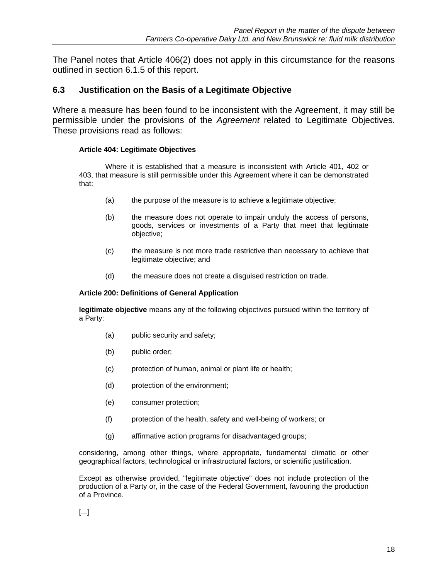The Panel notes that Article 406(2) does not apply in this circumstance for the reasons outlined in section 6.1.5 of this report.

#### **6.3 Justification on the Basis of a Legitimate Objective**

Where a measure has been found to be inconsistent with the Agreement, it may still be permissible under the provisions of the *Agreement* related to Legitimate Objectives. These provisions read as follows:

#### **Article 404: Legitimate Objectives**

 Where it is established that a measure is inconsistent with Article 401, 402 or 403, that measure is still permissible under this Agreement where it can be demonstrated that:

- (a) the purpose of the measure is to achieve a legitimate objective;
- (b) the measure does not operate to impair unduly the access of persons, goods, services or investments of a Party that meet that legitimate objective;
- (c) the measure is not more trade restrictive than necessary to achieve that legitimate objective; and
- (d) the measure does not create a disguised restriction on trade.

#### **Article 200: Definitions of General Application**

**legitimate objective** means any of the following objectives pursued within the territory of a Party:

- (a) public security and safety;
- (b) public order;
- (c) protection of human, animal or plant life or health;
- (d) protection of the environment;
- (e) consumer protection;
- (f) protection of the health, safety and well-being of workers; or
- (g) affirmative action programs for disadvantaged groups;

considering, among other things, where appropriate, fundamental climatic or other geographical factors, technological or infrastructural factors, or scientific justification.

Except as otherwise provided, "legitimate objective" does not include protection of the production of a Party or, in the case of the Federal Government, favouring the production of a Province.

[...]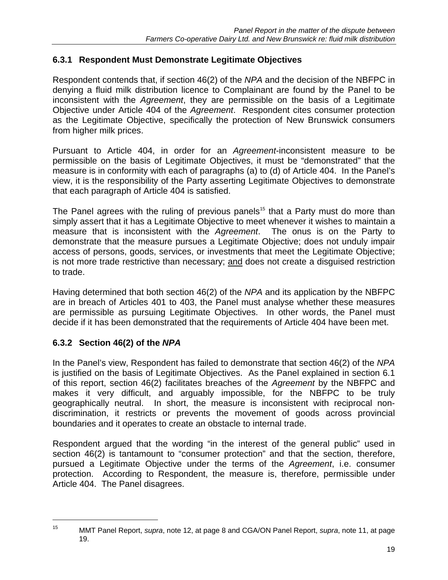### **6.3.1 Respondent Must Demonstrate Legitimate Objectives**

Respondent contends that, if section 46(2) of the *NPA* and the decision of the NBFPC in denying a fluid milk distribution licence to Complainant are found by the Panel to be inconsistent with the *Agreement*, they are permissible on the basis of a Legitimate Objective under Article 404 of the *Agreement*. Respondent cites consumer protection as the Legitimate Objective, specifically the protection of New Brunswick consumers from higher milk prices.

Pursuant to Article 404, in order for an *Agreement*-inconsistent measure to be permissible on the basis of Legitimate Objectives, it must be "demonstrated" that the measure is in conformity with each of paragraphs (a) to (d) of Article 404. In the Panel's view, it is the responsibility of the Party asserting Legitimate Objectives to demonstrate that each paragraph of Article 404 is satisfied.

The Panel agrees with the ruling of previous panels<sup>15</sup> that a Party must do more than simply assert that it has a Legitimate Objective to meet whenever it wishes to maintain a measure that is inconsistent with the *Agreement*. The onus is on the Party to demonstrate that the measure pursues a Legitimate Objective; does not unduly impair access of persons, goods, services, or investments that meet the Legitimate Objective; is not more trade restrictive than necessary; and does not create a disguised restriction to trade.

Having determined that both section 46(2) of the *NPA* and its application by the NBFPC are in breach of Articles 401 to 403, the Panel must analyse whether these measures are permissible as pursuing Legitimate Objectives. In other words, the Panel must decide if it has been demonstrated that the requirements of Article 404 have been met.

### **6.3.2 Section 46(2) of the** *NPA*

In the Panel's view, Respondent has failed to demonstrate that section 46(2) of the *NPA* is justified on the basis of Legitimate Objectives. As the Panel explained in section 6.1 of this report, section 46(2) facilitates breaches of the *Agreement* by the NBFPC and makes it very difficult, and arguably impossible, for the NBFPC to be truly geographically neutral. In short, the measure is inconsistent with reciprocal nondiscrimination, it restricts or prevents the movement of goods across provincial boundaries and it operates to create an obstacle to internal trade.

Respondent argued that the wording "in the interest of the general public" used in section 46(2) is tantamount to "consumer protection" and that the section, therefore, pursued a Legitimate Objective under the terms of the *Agreement*, i.e. consumer protection. According to Respondent, the measure is, therefore, permissible under Article 404. The Panel disagrees.

 $\overline{a}$ 

<sup>15</sup> MMT Panel Report, *supra*, note 12, at page 8 and CGA/ON Panel Report, *supra*, note 11, at page 19.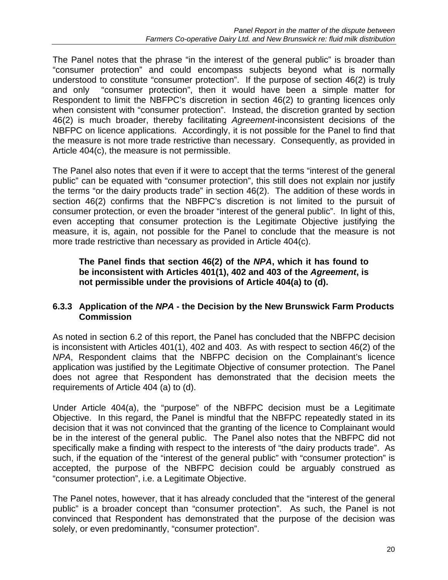The Panel notes that the phrase "in the interest of the general public" is broader than "consumer protection" and could encompass subjects beyond what is normally understood to constitute "consumer protection". If the purpose of section 46(2) is truly and only "consumer protection", then it would have been a simple matter for Respondent to limit the NBFPC's discretion in section 46(2) to granting licences only when consistent with "consumer protection". Instead, the discretion granted by section 46(2) is much broader, thereby facilitating *Agreement*-inconsistent decisions of the NBFPC on licence applications. Accordingly, it is not possible for the Panel to find that the measure is not more trade restrictive than necessary. Consequently, as provided in Article 404(c), the measure is not permissible.

The Panel also notes that even if it were to accept that the terms "interest of the general public" can be equated with "consumer protection", this still does not explain nor justify the terms "or the dairy products trade" in section 46(2). The addition of these words in section 46(2) confirms that the NBFPC's discretion is not limited to the pursuit of consumer protection, or even the broader "interest of the general public". In light of this, even accepting that consumer protection is the Legitimate Objective justifying the measure, it is, again, not possible for the Panel to conclude that the measure is not more trade restrictive than necessary as provided in Article 404(c).

#### **The Panel finds that section 46(2) of the** *NPA***, which it has found to be inconsistent with Articles 401(1), 402 and 403 of the** *Agreement***, is not permissible under the provisions of Article 404(a) to (d).**

#### **6.3.3 Application of the** *NPA* **- the Decision by the New Brunswick Farm Products Commission**

As noted in section 6.2 of this report, the Panel has concluded that the NBFPC decision is inconsistent with Articles 401(1), 402 and 403. As with respect to section 46(2) of the *NPA*, Respondent claims that the NBFPC decision on the Complainant's licence application was justified by the Legitimate Objective of consumer protection. The Panel does not agree that Respondent has demonstrated that the decision meets the requirements of Article 404 (a) to (d).

Under Article 404(a), the "purpose" of the NBFPC decision must be a Legitimate Objective. In this regard, the Panel is mindful that the NBFPC repeatedly stated in its decision that it was not convinced that the granting of the licence to Complainant would be in the interest of the general public. The Panel also notes that the NBFPC did not specifically make a finding with respect to the interests of "the dairy products trade". As such, if the equation of the "interest of the general public" with "consumer protection" is accepted, the purpose of the NBFPC decision could be arguably construed as "consumer protection", i.e. a Legitimate Objective.

The Panel notes, however, that it has already concluded that the "interest of the general public" is a broader concept than "consumer protection". As such, the Panel is not convinced that Respondent has demonstrated that the purpose of the decision was solely, or even predominantly, "consumer protection".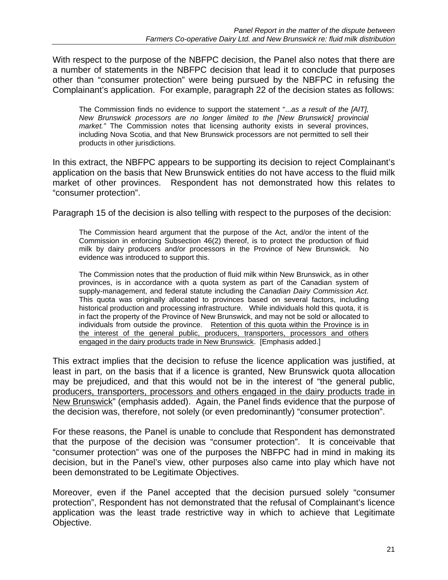With respect to the purpose of the NBFPC decision, the Panel also notes that there are a number of statements in the NBFPC decision that lead it to conclude that purposes other than "consumer protection" were being pursued by the NBFPC in refusing the Complainant's application. For example, paragraph 22 of the decision states as follows:

The Commission finds no evidence to support the statement "...*as a result of the [AIT], New Brunswick processors are no longer limited to the [New Brunswick] provincial market."* The Commission notes that licensing authority exists in several provinces, including Nova Scotia, and that New Brunswick processors are not permitted to sell their products in other jurisdictions.

In this extract, the NBFPC appears to be supporting its decision to reject Complainant's application on the basis that New Brunswick entities do not have access to the fluid milk market of other provinces. Respondent has not demonstrated how this relates to "consumer protection".

Paragraph 15 of the decision is also telling with respect to the purposes of the decision:

The Commission heard argument that the purpose of the Act, and/or the intent of the Commission in enforcing Subsection 46(2) thereof, is to protect the production of fluid milk by dairy producers and/or processors in the Province of New Brunswick. No evidence was introduced to support this.

The Commission notes that the production of fluid milk within New Brunswick, as in other provinces, is in accordance with a quota system as part of the Canadian system of supply-management, and federal statute including the *Canadian Dairy Commission Act*. This quota was originally allocated to provinces based on several factors, including historical production and processing infrastructure. While individuals hold this quota, it is in fact the property of the Province of New Brunswick, and may not be sold or allocated to individuals from outside the province. Retention of this quota within the Province is in the interest of the general public, producers, transporters, processors and others engaged in the dairy products trade in New Brunswick. [Emphasis added.]

This extract implies that the decision to refuse the licence application was justified, at least in part, on the basis that if a licence is granted, New Brunswick quota allocation may be prejudiced, and that this would not be in the interest of "the general public, producers, transporters, processors and others engaged in the dairy products trade in New Brunswick" (emphasis added). Again, the Panel finds evidence that the purpose of the decision was, therefore, not solely (or even predominantly) "consumer protection".

For these reasons, the Panel is unable to conclude that Respondent has demonstrated that the purpose of the decision was "consumer protection". It is conceivable that "consumer protection" was one of the purposes the NBFPC had in mind in making its decision, but in the Panel's view, other purposes also came into play which have not been demonstrated to be Legitimate Objectives.

Moreover, even if the Panel accepted that the decision pursued solely "consumer protection", Respondent has not demonstrated that the refusal of Complainant's licence application was the least trade restrictive way in which to achieve that Legitimate Objective.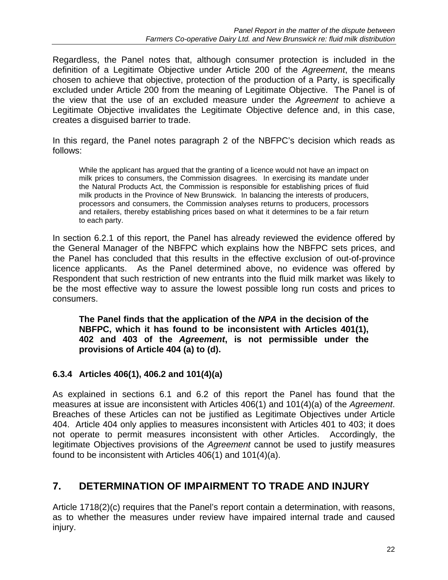Regardless, the Panel notes that, although consumer protection is included in the definition of a Legitimate Objective under Article 200 of the *Agreement*, the means chosen to achieve that objective, protection of the production of a Party, is specifically excluded under Article 200 from the meaning of Legitimate Objective. The Panel is of the view that the use of an excluded measure under the *Agreement* to achieve a Legitimate Objective invalidates the Legitimate Objective defence and, in this case, creates a disguised barrier to trade.

In this regard, the Panel notes paragraph 2 of the NBFPC's decision which reads as follows:

While the applicant has argued that the granting of a licence would not have an impact on milk prices to consumers, the Commission disagrees. In exercising its mandate under the Natural Products Act, the Commission is responsible for establishing prices of fluid milk products in the Province of New Brunswick. In balancing the interests of producers, processors and consumers, the Commission analyses returns to producers, processors and retailers, thereby establishing prices based on what it determines to be a fair return to each party.

In section 6.2.1 of this report, the Panel has already reviewed the evidence offered by the General Manager of the NBFPC which explains how the NBFPC sets prices, and the Panel has concluded that this results in the effective exclusion of out-of-province licence applicants. As the Panel determined above, no evidence was offered by Respondent that such restriction of new entrants into the fluid milk market was likely to be the most effective way to assure the lowest possible long run costs and prices to consumers.

**The Panel finds that the application of the** *NPA* **in the decision of the NBFPC, which it has found to be inconsistent with Articles 401(1), 402 and 403 of the** *Agreement***, is not permissible under the provisions of Article 404 (a) to (d).** 

### **6.3.4 Articles 406(1), 406.2 and 101(4)(a)**

As explained in sections 6.1 and 6.2 of this report the Panel has found that the measures at issue are inconsistent with Articles 406(1) and 101(4)(a) of the *Agreement*. Breaches of these Articles can not be justified as Legitimate Objectives under Article 404. Article 404 only applies to measures inconsistent with Articles 401 to 403; it does not operate to permit measures inconsistent with other Articles. Accordingly, the legitimate Objectives provisions of the *Agreement* cannot be used to justify measures found to be inconsistent with Articles 406(1) and 101(4)(a).

## **7. DETERMINATION OF IMPAIRMENT TO TRADE AND INJURY**

Article 1718(2)(c) requires that the Panel's report contain a determination, with reasons, as to whether the measures under review have impaired internal trade and caused injury.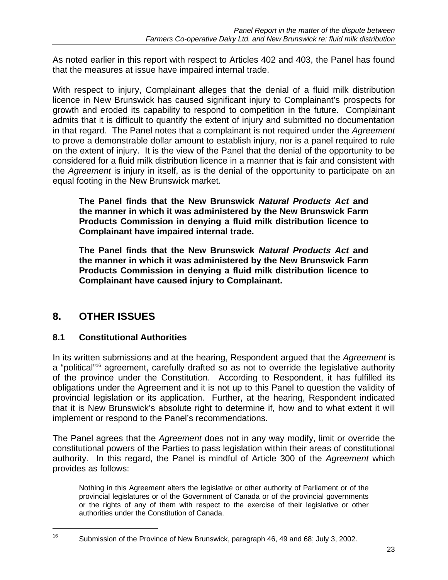As noted earlier in this report with respect to Articles 402 and 403, the Panel has found that the measures at issue have impaired internal trade.

With respect to injury, Complainant alleges that the denial of a fluid milk distribution licence in New Brunswick has caused significant injury to Complainant's prospects for growth and eroded its capability to respond to competition in the future. Complainant admits that it is difficult to quantify the extent of injury and submitted no documentation in that regard. The Panel notes that a complainant is not required under the *Agreement* to prove a demonstrable dollar amount to establish injury, nor is a panel required to rule on the extent of injury. It is the view of the Panel that the denial of the opportunity to be considered for a fluid milk distribution licence in a manner that is fair and consistent with the *Agreement* is injury in itself, as is the denial of the opportunity to participate on an equal footing in the New Brunswick market.

**The Panel finds that the New Brunswick** *Natural Products Act* **and the manner in which it was administered by the New Brunswick Farm Products Commission in denying a fluid milk distribution licence to Complainant have impaired internal trade.** 

**The Panel finds that the New Brunswick** *Natural Products Act* **and the manner in which it was administered by the New Brunswick Farm Products Commission in denying a fluid milk distribution licence to Complainant have caused injury to Complainant.** 

## **8. OTHER ISSUES**

 $\overline{a}$ 

### **8.1 Constitutional Authorities**

In its written submissions and at the hearing, Respondent argued that the *Agreement* is a "political"<sup>16</sup> agreement, carefully drafted so as not to override the legislative authority of the province under the Constitution. According to Respondent, it has fulfilled its obligations under the Agreement and it is not up to this Panel to question the validity of provincial legislation or its application. Further, at the hearing, Respondent indicated that it is New Brunswick's absolute right to determine if, how and to what extent it will implement or respond to the Panel's recommendations.

The Panel agrees that the *Agreement* does not in any way modify, limit or override the constitutional powers of the Parties to pass legislation within their areas of constitutional authority. In this regard, the Panel is mindful of Article 300 of the *Agreement* which provides as follows:

 Nothing in this Agreement alters the legislative or other authority of Parliament or of the provincial legislatures or of the Government of Canada or of the provincial governments or the rights of any of them with respect to the exercise of their legislative or other authorities under the Constitution of Canada.

<sup>16</sup> Submission of the Province of New Brunswick, paragraph 46, 49 and 68; July 3, 2002.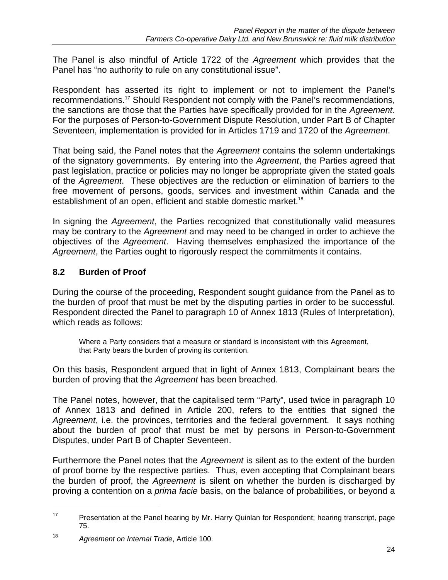The Panel is also mindful of Article 1722 of the *Agreement* which provides that the Panel has "no authority to rule on any constitutional issue".

Respondent has asserted its right to implement or not to implement the Panel's recommendations.<sup>17</sup> Should Respondent not comply with the Panel's recommendations, the sanctions are those that the Parties have specifically provided for in the *Agreement*. For the purposes of Person-to-Government Dispute Resolution, under Part B of Chapter Seventeen, implementation is provided for in Articles 1719 and 1720 of the *Agreement*.

That being said, the Panel notes that the *Agreement* contains the solemn undertakings of the signatory governments. By entering into the *Agreement*, the Parties agreed that past legislation, practice or policies may no longer be appropriate given the stated goals of the *Agreement*. These objectives are the reduction or elimination of barriers to the free movement of persons, goods, services and investment within Canada and the establishment of an open, efficient and stable domestic market.<sup>18</sup>

In signing the *Agreement*, the Parties recognized that constitutionally valid measures may be contrary to the *Agreement* and may need to be changed in order to achieve the objectives of the *Agreement*. Having themselves emphasized the importance of the *Agreement*, the Parties ought to rigorously respect the commitments it contains.

### **8.2 Burden of Proof**

During the course of the proceeding, Respondent sought guidance from the Panel as to the burden of proof that must be met by the disputing parties in order to be successful. Respondent directed the Panel to paragraph 10 of Annex 1813 (Rules of Interpretation), which reads as follows:

Where a Party considers that a measure or standard is inconsistent with this Agreement, that Party bears the burden of proving its contention.

On this basis, Respondent argued that in light of Annex 1813, Complainant bears the burden of proving that the *Agreement* has been breached.

The Panel notes, however, that the capitalised term "Party", used twice in paragraph 10 of Annex 1813 and defined in Article 200, refers to the entities that signed the *Agreement*, i.e. the provinces, territories and the federal government. It says nothing about the burden of proof that must be met by persons in Person-to-Government Disputes, under Part B of Chapter Seventeen.

Furthermore the Panel notes that the *Agreement* is silent as to the extent of the burden of proof borne by the respective parties. Thus, even accepting that Complainant bears the burden of proof, the *Agreement* is silent on whether the burden is discharged by proving a contention on a *prima facie* basis, on the balance of probabilities, or beyond a

 $\overline{a}$ 

<sup>&</sup>lt;sup>17</sup> Presentation at the Panel hearing by Mr. Harry Quinlan for Respondent; hearing transcript, page 75.

<sup>18</sup> *Agreement on Internal Trade*, Article 100.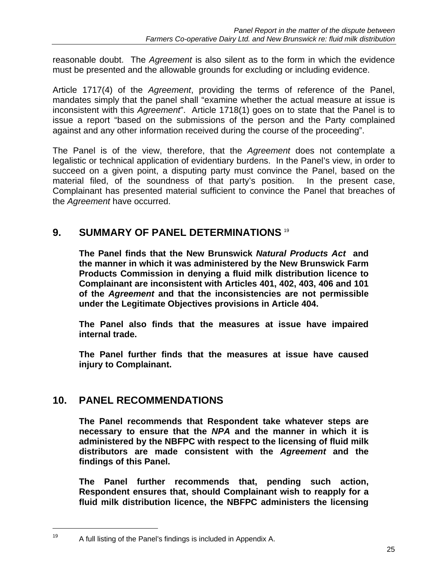reasonable doubt. The *Agreement* is also silent as to the form in which the evidence must be presented and the allowable grounds for excluding or including evidence.

Article 1717(4) of the *Agreement*, providing the terms of reference of the Panel, mandates simply that the panel shall "examine whether the actual measure at issue is inconsistent with this *Agreement*". Article 1718(1) goes on to state that the Panel is to issue a report "based on the submissions of the person and the Party complained against and any other information received during the course of the proceeding".

The Panel is of the view, therefore, that the *Agreement* does not contemplate a legalistic or technical application of evidentiary burdens. In the Panel's view, in order to succeed on a given point, a disputing party must convince the Panel, based on the material filed, of the soundness of that party's position. In the present case, Complainant has presented material sufficient to convince the Panel that breaches of the *Agreement* have occurred.

## **9. SUMMARY OF PANEL DETERMINATIONS 19**

**The Panel finds that the New Brunswick** *Natural Products Act* **and the manner in which it was administered by the New Brunswick Farm Products Commission in denying a fluid milk distribution licence to Complainant are inconsistent with Articles 401, 402, 403, 406 and 101 of the** *Agreement* **and that the inconsistencies are not permissible under the Legitimate Objectives provisions in Article 404.** 

**The Panel also finds that the measures at issue have impaired internal trade.** 

**The Panel further finds that the measures at issue have caused injury to Complainant.** 

### **10. PANEL RECOMMENDATIONS**

1

**The Panel recommends that Respondent take whatever steps are necessary to ensure that the** *NPA* **and the manner in which it is administered by the NBFPC with respect to the licensing of fluid milk distributors are made consistent with the** *Agreement* **and the findings of this Panel.** 

**The Panel further recommends that, pending such action, Respondent ensures that, should Complainant wish to reapply for a fluid milk distribution licence, the NBFPC administers the licensing** 

 $19$  A full listing of the Panel's findings is included in Appendix A.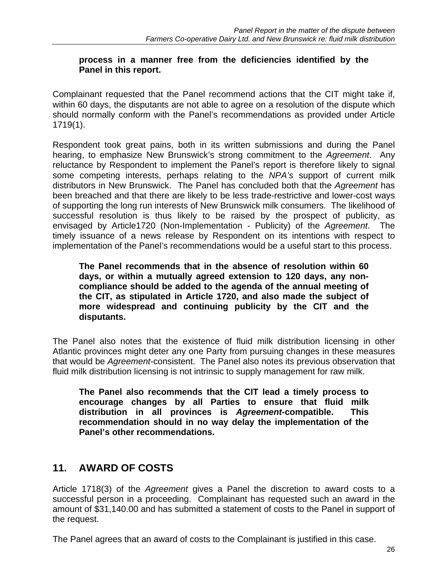#### **process in a manner free from the deficiencies identified by the Panel in this report.**

Complainant requested that the Panel recommend actions that the CIT might take if, within 60 days, the disputants are not able to agree on a resolution of the dispute which should normally conform with the Panel's recommendations as provided under Article 1719(1).

Respondent took great pains, both in its written submissions and during the Panel hearing, to emphasize New Brunswick's strong commitment to the *Agreement*. Any reluctance by Respondent to implement the Panel's report is therefore likely to signal some competing interests, perhaps relating to the *NPA's* support of current milk distributors in New Brunswick. The Panel has concluded both that the *Agreement* has been breached and that there are likely to be less trade-restrictive and lower-cost ways of supporting the long run interests of New Brunswick milk consumers. The likelihood of successful resolution is thus likely to be raised by the prospect of publicity, as envisaged by Article1720 (Non-Implementation - Publicity) of the *Agreement*. The timely issuance of a news release by Respondent on its intentions with respect to implementation of the Panel's recommendations would be a useful start to this process.

**The Panel recommends that in the absence of resolution within 60 days, or within a mutually agreed extension to 120 days, any noncompliance should be added to the agenda of the annual meeting of the CIT, as stipulated in Article 1720, and also made the subject of more widespread and continuing publicity by the CIT and the disputants.** 

The Panel also notes that the existence of fluid milk distribution licensing in other Atlantic provinces might deter any one Party from pursuing changes in these measures that would be *Agreement*-consistent. The Panel also notes its previous observation that fluid milk distribution licensing is not intrinsic to supply management for raw milk.

**The Panel also recommends that the CIT lead a timely process to encourage changes by all Parties to ensure that fluid milk distribution in all provinces is** *Agreement***-compatible. This recommendation should in no way delay the implementation of the Panel's other recommendations.** 

## **11. AWARD OF COSTS**

Article 1718(3) of the *Agreement* gives a Panel the discretion to award costs to a successful person in a proceeding. Complainant has requested such an award in the amount of \$31,140.00 and has submitted a statement of costs to the Panel in support of the request.

The Panel agrees that an award of costs to the Complainant is justified in this case.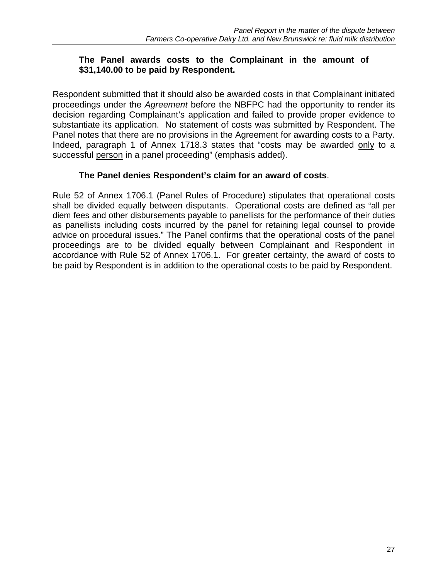#### **The Panel awards costs to the Complainant in the amount of \$31,140.00 to be paid by Respondent.**

Respondent submitted that it should also be awarded costs in that Complainant initiated proceedings under the *Agreement* before the NBFPC had the opportunity to render its decision regarding Complainant's application and failed to provide proper evidence to substantiate its application. No statement of costs was submitted by Respondent. The Panel notes that there are no provisions in the Agreement for awarding costs to a Party. Indeed, paragraph 1 of Annex 1718.3 states that "costs may be awarded only to a successful person in a panel proceeding" (emphasis added).

#### **The Panel denies Respondent's claim for an award of costs**.

Rule 52 of Annex 1706.1 (Panel Rules of Procedure) stipulates that operational costs shall be divided equally between disputants. Operational costs are defined as "all per diem fees and other disbursements payable to panellists for the performance of their duties as panellists including costs incurred by the panel for retaining legal counsel to provide advice on procedural issues." The Panel confirms that the operational costs of the panel proceedings are to be divided equally between Complainant and Respondent in accordance with Rule 52 of Annex 1706.1. For greater certainty, the award of costs to be paid by Respondent is in addition to the operational costs to be paid by Respondent.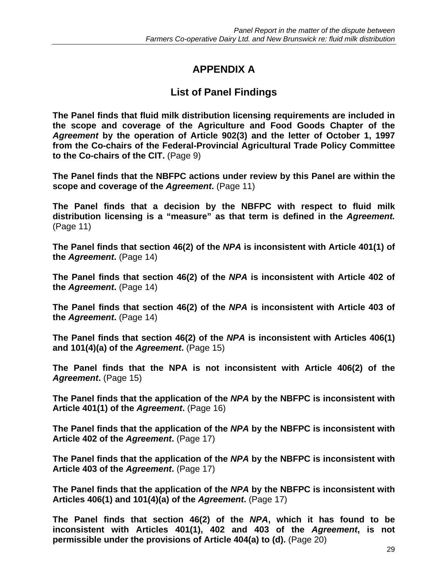# **APPENDIX A**

## **List of Panel Findings**

**The Panel finds that fluid milk distribution licensing requirements are included in the scope and coverage of the Agriculture and Food Goods Chapter of the**  *Agreement* **by the operation of Article 902(3) and the letter of October 1, 1997 from the Co-chairs of the Federal-Provincial Agricultural Trade Policy Committee to the Co-chairs of the CIT.** (Page 9)

**The Panel finds that the NBFPC actions under review by this Panel are within the scope and coverage of the** *Agreement***.** (Page 11)

**The Panel finds that a decision by the NBFPC with respect to fluid milk distribution licensing is a "measure" as that term is defined in the** *Agreement.* (Page 11)

**The Panel finds that section 46(2) of the** *NPA* **is inconsistent with Article 401(1) of the** *Agreement***.** (Page 14)

**The Panel finds that section 46(2) of the** *NPA* **is inconsistent with Article 402 of the** *Agreement***.** (Page 14)

**The Panel finds that section 46(2) of the** *NPA* **is inconsistent with Article 403 of the** *Agreement***.** (Page 14)

**The Panel finds that section 46(2) of the** *NPA* **is inconsistent with Articles 406(1) and 101(4)(a) of the** *Agreement***.** (Page 15)

**The Panel finds that the NPA is not inconsistent with Article 406(2) of the**  Agreement. (Page 15)

**The Panel finds that the application of the** *NPA* **by the NBFPC is inconsistent with Article 401(1) of the** *Agreement***.** (Page 16)

**The Panel finds that the application of the** *NPA* **by the NBFPC is inconsistent with Article 402 of the** *Agreement***.** (Page 17)

**The Panel finds that the application of the** *NPA* **by the NBFPC is inconsistent with Article 403 of the** *Agreement***.** (Page 17)

**The Panel finds that the application of the** *NPA* **by the NBFPC is inconsistent with Articles 406(1) and 101(4)(a) of the** *Agreement***.** (Page 17)

**The Panel finds that section 46(2) of the** *NPA***, which it has found to be inconsistent with Articles 401(1), 402 and 403 of the** *Agreement***, is not permissible under the provisions of Article 404(a) to (d).** (Page 20)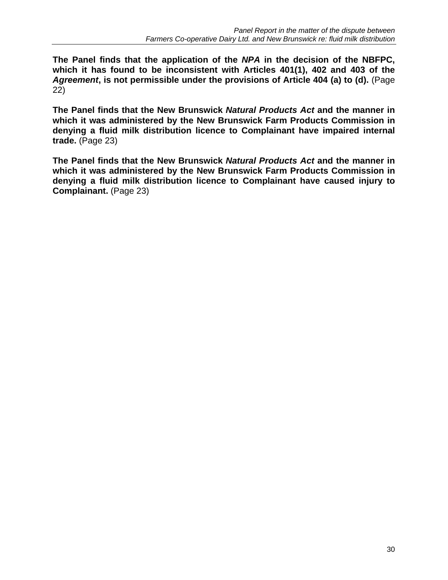**The Panel finds that the application of the** *NPA* **in the decision of the NBFPC, which it has found to be inconsistent with Articles 401(1), 402 and 403 of the**  *Agreement***, is not permissible under the provisions of Article 404 (a) to (d).** (Page 22)

**The Panel finds that the New Brunswick** *Natural Products Act* **and the manner in which it was administered by the New Brunswick Farm Products Commission in denying a fluid milk distribution licence to Complainant have impaired internal trade.** (Page 23)

**The Panel finds that the New Brunswick** *Natural Products Act* **and the manner in which it was administered by the New Brunswick Farm Products Commission in denying a fluid milk distribution licence to Complainant have caused injury to Complainant.** (Page 23)